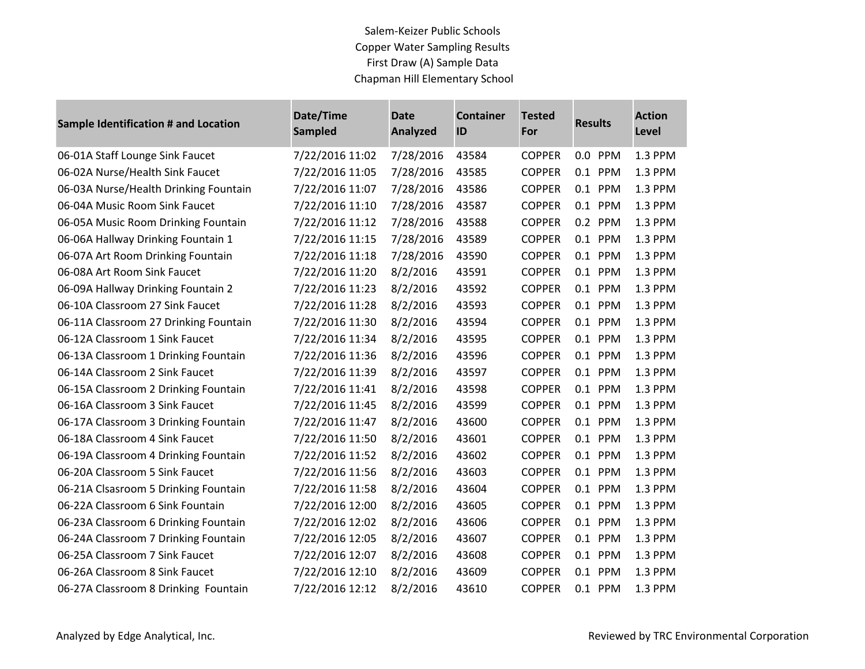| <b>Sample Identification # and Location</b> | Date/Time<br><b>Sampled</b> | <b>Date</b><br>Analyzed | <b>Container</b><br>ID | <b>Tested</b><br>For | <b>Results</b> | <b>Action</b><br>Level |
|---------------------------------------------|-----------------------------|-------------------------|------------------------|----------------------|----------------|------------------------|
| 06-01A Staff Lounge Sink Faucet             | 7/22/2016 11:02             | 7/28/2016               | 43584                  | <b>COPPER</b>        | 0.0 PPM        | 1.3 PPM                |
| 06-02A Nurse/Health Sink Faucet             | 7/22/2016 11:05             | 7/28/2016               | 43585                  | <b>COPPER</b>        | 0.1 PPM        | 1.3 PPM                |
| 06-03A Nurse/Health Drinking Fountain       | 7/22/2016 11:07             | 7/28/2016               | 43586                  | <b>COPPER</b>        | 0.1 PPM        | 1.3 PPM                |
| 06-04A Music Room Sink Faucet               | 7/22/2016 11:10             | 7/28/2016               | 43587                  | <b>COPPER</b>        | 0.1 PPM        | 1.3 PPM                |
| 06-05A Music Room Drinking Fountain         | 7/22/2016 11:12             | 7/28/2016               | 43588                  | <b>COPPER</b>        | 0.2 PPM        | 1.3 PPM                |
| 06-06A Hallway Drinking Fountain 1          | 7/22/2016 11:15             | 7/28/2016               | 43589                  | <b>COPPER</b>        | 0.1 PPM        | 1.3 PPM                |
| 06-07A Art Room Drinking Fountain           | 7/22/2016 11:18             | 7/28/2016               | 43590                  | <b>COPPER</b>        | 0.1 PPM        | 1.3 PPM                |
| 06-08A Art Room Sink Faucet                 | 7/22/2016 11:20             | 8/2/2016                | 43591                  | <b>COPPER</b>        | 0.1 PPM        | 1.3 PPM                |
| 06-09A Hallway Drinking Fountain 2          | 7/22/2016 11:23             | 8/2/2016                | 43592                  | <b>COPPER</b>        | 0.1 PPM        | 1.3 PPM                |
| 06-10A Classroom 27 Sink Faucet             | 7/22/2016 11:28             | 8/2/2016                | 43593                  | <b>COPPER</b>        | 0.1 PPM        | 1.3 PPM                |
| 06-11A Classroom 27 Drinking Fountain       | 7/22/2016 11:30             | 8/2/2016                | 43594                  | <b>COPPER</b>        | 0.1 PPM        | 1.3 PPM                |
| 06-12A Classroom 1 Sink Faucet              | 7/22/2016 11:34             | 8/2/2016                | 43595                  | <b>COPPER</b>        | 0.1 PPM        | 1.3 PPM                |
| 06-13A Classroom 1 Drinking Fountain        | 7/22/2016 11:36             | 8/2/2016                | 43596                  | <b>COPPER</b>        | 0.1 PPM        | 1.3 PPM                |
| 06-14A Classroom 2 Sink Faucet              | 7/22/2016 11:39             | 8/2/2016                | 43597                  | <b>COPPER</b>        | 0.1 PPM        | 1.3 PPM                |
| 06-15A Classroom 2 Drinking Fountain        | 7/22/2016 11:41             | 8/2/2016                | 43598                  | <b>COPPER</b>        | 0.1 PPM        | 1.3 PPM                |
| 06-16A Classroom 3 Sink Faucet              | 7/22/2016 11:45             | 8/2/2016                | 43599                  | <b>COPPER</b>        | 0.1 PPM        | 1.3 PPM                |
| 06-17A Classroom 3 Drinking Fountain        | 7/22/2016 11:47             | 8/2/2016                | 43600                  | <b>COPPER</b>        | 0.1 PPM        | 1.3 PPM                |
| 06-18A Classroom 4 Sink Faucet              | 7/22/2016 11:50             | 8/2/2016                | 43601                  | <b>COPPER</b>        | 0.1 PPM        | 1.3 PPM                |
| 06-19A Classroom 4 Drinking Fountain        | 7/22/2016 11:52             | 8/2/2016                | 43602                  | <b>COPPER</b>        | 0.1 PPM        | 1.3 PPM                |
| 06-20A Classroom 5 Sink Faucet              | 7/22/2016 11:56             | 8/2/2016                | 43603                  | <b>COPPER</b>        | 0.1 PPM        | 1.3 PPM                |
| 06-21A Clsasroom 5 Drinking Fountain        | 7/22/2016 11:58             | 8/2/2016                | 43604                  | <b>COPPER</b>        | 0.1 PPM        | 1.3 PPM                |
| 06-22A Classroom 6 Sink Fountain            | 7/22/2016 12:00             | 8/2/2016                | 43605                  | <b>COPPER</b>        | 0.1 PPM        | 1.3 PPM                |
| 06-23A Classroom 6 Drinking Fountain        | 7/22/2016 12:02             | 8/2/2016                | 43606                  | <b>COPPER</b>        | 0.1 PPM        | 1.3 PPM                |
| 06-24A Classroom 7 Drinking Fountain        | 7/22/2016 12:05             | 8/2/2016                | 43607                  | <b>COPPER</b>        | 0.1 PPM        | 1.3 PPM                |
| 06-25A Classroom 7 Sink Faucet              | 7/22/2016 12:07             | 8/2/2016                | 43608                  | <b>COPPER</b>        | 0.1 PPM        | 1.3 PPM                |
| 06-26A Classroom 8 Sink Faucet              | 7/22/2016 12:10             | 8/2/2016                | 43609                  | <b>COPPER</b>        | 0.1 PPM        | 1.3 PPM                |
| 06-27A Classroom 8 Drinking Fountain        | 7/22/2016 12:12             | 8/2/2016                | 43610                  | <b>COPPER</b>        | 0.1 PPM        | 1.3 PPM                |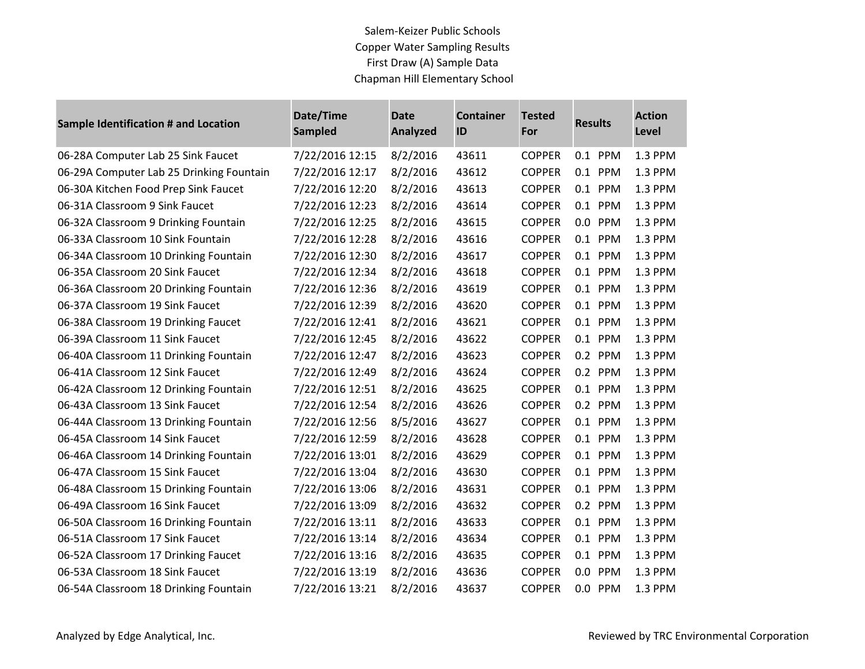| <b>Sample Identification # and Location</b> | Date/Time<br><b>Sampled</b> | Date<br><b>Analyzed</b> | <b>Container</b><br>ID | <b>Tested</b><br>For | <b>Results</b> | <b>Action</b><br>Level |
|---------------------------------------------|-----------------------------|-------------------------|------------------------|----------------------|----------------|------------------------|
| 06-28A Computer Lab 25 Sink Faucet          | 7/22/2016 12:15             | 8/2/2016                | 43611                  | <b>COPPER</b>        | 0.1 PPM        | 1.3 PPM                |
| 06-29A Computer Lab 25 Drinking Fountain    | 7/22/2016 12:17             | 8/2/2016                | 43612                  | <b>COPPER</b>        | 0.1 PPM        | 1.3 PPM                |
| 06-30A Kitchen Food Prep Sink Faucet        | 7/22/2016 12:20             | 8/2/2016                | 43613                  | <b>COPPER</b>        | 0.1 PPM        | 1.3 PPM                |
| 06-31A Classroom 9 Sink Faucet              | 7/22/2016 12:23             | 8/2/2016                | 43614                  | <b>COPPER</b>        | 0.1 PPM        | 1.3 PPM                |
| 06-32A Classroom 9 Drinking Fountain        | 7/22/2016 12:25             | 8/2/2016                | 43615                  | <b>COPPER</b>        | 0.0 PPM        | 1.3 PPM                |
| 06-33A Classroom 10 Sink Fountain           | 7/22/2016 12:28             | 8/2/2016                | 43616                  | <b>COPPER</b>        | 0.1 PPM        | 1.3 PPM                |
| 06-34A Classroom 10 Drinking Fountain       | 7/22/2016 12:30             | 8/2/2016                | 43617                  | <b>COPPER</b>        | 0.1 PPM        | 1.3 PPM                |
| 06-35A Classroom 20 Sink Faucet             | 7/22/2016 12:34             | 8/2/2016                | 43618                  | <b>COPPER</b>        | 0.1 PPM        | 1.3 PPM                |
| 06-36A Classroom 20 Drinking Fountain       | 7/22/2016 12:36             | 8/2/2016                | 43619                  | <b>COPPER</b>        | 0.1 PPM        | 1.3 PPM                |
| 06-37A Classroom 19 Sink Faucet             | 7/22/2016 12:39             | 8/2/2016                | 43620                  | <b>COPPER</b>        | 0.1 PPM        | 1.3 PPM                |
| 06-38A Classroom 19 Drinking Faucet         | 7/22/2016 12:41             | 8/2/2016                | 43621                  | <b>COPPER</b>        | 0.1 PPM        | 1.3 PPM                |
| 06-39A Classroom 11 Sink Faucet             | 7/22/2016 12:45             | 8/2/2016                | 43622                  | <b>COPPER</b>        | 0.1 PPM        | 1.3 PPM                |
| 06-40A Classroom 11 Drinking Fountain       | 7/22/2016 12:47             | 8/2/2016                | 43623                  | <b>COPPER</b>        | 0.2 PPM        | 1.3 PPM                |
| 06-41A Classroom 12 Sink Faucet             | 7/22/2016 12:49             | 8/2/2016                | 43624                  | <b>COPPER</b>        | 0.2 PPM        | 1.3 PPM                |
| 06-42A Classroom 12 Drinking Fountain       | 7/22/2016 12:51             | 8/2/2016                | 43625                  | <b>COPPER</b>        | 0.1 PPM        | 1.3 PPM                |
| 06-43A Classroom 13 Sink Faucet             | 7/22/2016 12:54             | 8/2/2016                | 43626                  | <b>COPPER</b>        | 0.2 PPM        | 1.3 PPM                |
| 06-44A Classroom 13 Drinking Fountain       | 7/22/2016 12:56             | 8/5/2016                | 43627                  | <b>COPPER</b>        | 0.1 PPM        | 1.3 PPM                |
| 06-45A Classroom 14 Sink Faucet             | 7/22/2016 12:59             | 8/2/2016                | 43628                  | <b>COPPER</b>        | 0.1 PPM        | 1.3 PPM                |
| 06-46A Classroom 14 Drinking Fountain       | 7/22/2016 13:01             | 8/2/2016                | 43629                  | <b>COPPER</b>        | 0.1 PPM        | 1.3 PPM                |
| 06-47A Classroom 15 Sink Faucet             | 7/22/2016 13:04             | 8/2/2016                | 43630                  | <b>COPPER</b>        | 0.1 PPM        | 1.3 PPM                |
| 06-48A Classroom 15 Drinking Fountain       | 7/22/2016 13:06             | 8/2/2016                | 43631                  | <b>COPPER</b>        | 0.1 PPM        | 1.3 PPM                |
| 06-49A Classroom 16 Sink Faucet             | 7/22/2016 13:09             | 8/2/2016                | 43632                  | <b>COPPER</b>        | 0.2 PPM        | 1.3 PPM                |
| 06-50A Classroom 16 Drinking Fountain       | 7/22/2016 13:11             | 8/2/2016                | 43633                  | <b>COPPER</b>        | 0.1 PPM        | 1.3 PPM                |
| 06-51A Classroom 17 Sink Faucet             | 7/22/2016 13:14             | 8/2/2016                | 43634                  | <b>COPPER</b>        | 0.1 PPM        | 1.3 PPM                |
| 06-52A Classroom 17 Drinking Faucet         | 7/22/2016 13:16             | 8/2/2016                | 43635                  | <b>COPPER</b>        | 0.1 PPM        | 1.3 PPM                |
| 06-53A Classroom 18 Sink Faucet             | 7/22/2016 13:19             | 8/2/2016                | 43636                  | <b>COPPER</b>        | 0.0 PPM        | 1.3 PPM                |
| 06-54A Classroom 18 Drinking Fountain       | 7/22/2016 13:21             | 8/2/2016                | 43637                  | <b>COPPER</b>        | 0.0 PPM        | 1.3 PPM                |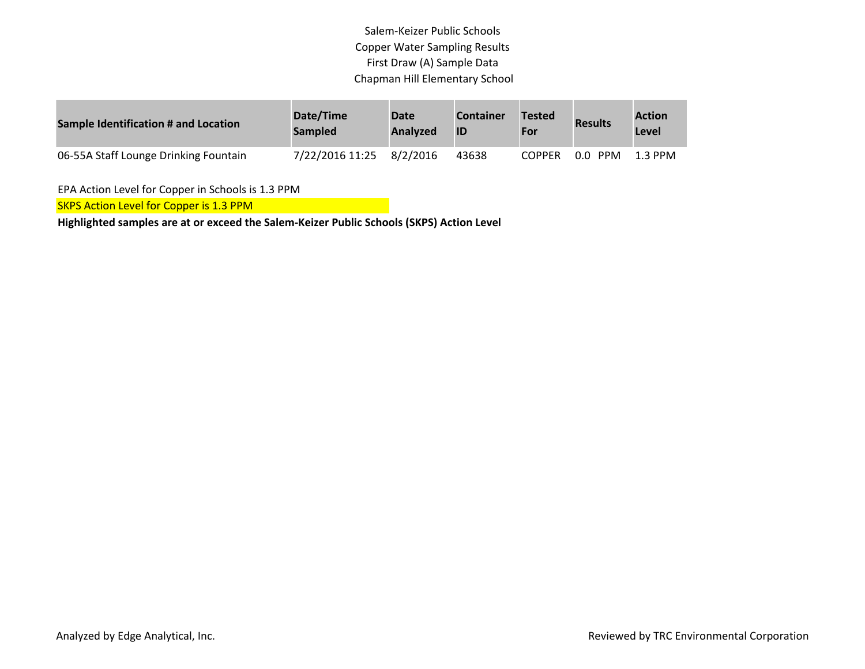| <b>Sample Identification # and Location</b> | Date/Time<br><b>Sampled</b> | Date<br><b>Analyzed</b> | <b>Container</b><br>ID | <b>Tested</b><br>For | <b>Results</b>    | <b>Action</b><br>Level |
|---------------------------------------------|-----------------------------|-------------------------|------------------------|----------------------|-------------------|------------------------|
| 06-55A Staff Lounge Drinking Fountain       | 7/22/2016 11:25             | 8/2/2016                | 43638                  | <b>COPPER</b>        | <b>PPM</b><br>0.0 | 1.3 PPM                |

EPA Action Level for Copper in Schools is 1.3 PPM

**SKPS Action Level for Copper is 1.3 PPM** 

**Highlighted samples are at or exceed the Salem-Keizer Public Schools (SKPS) Action Level**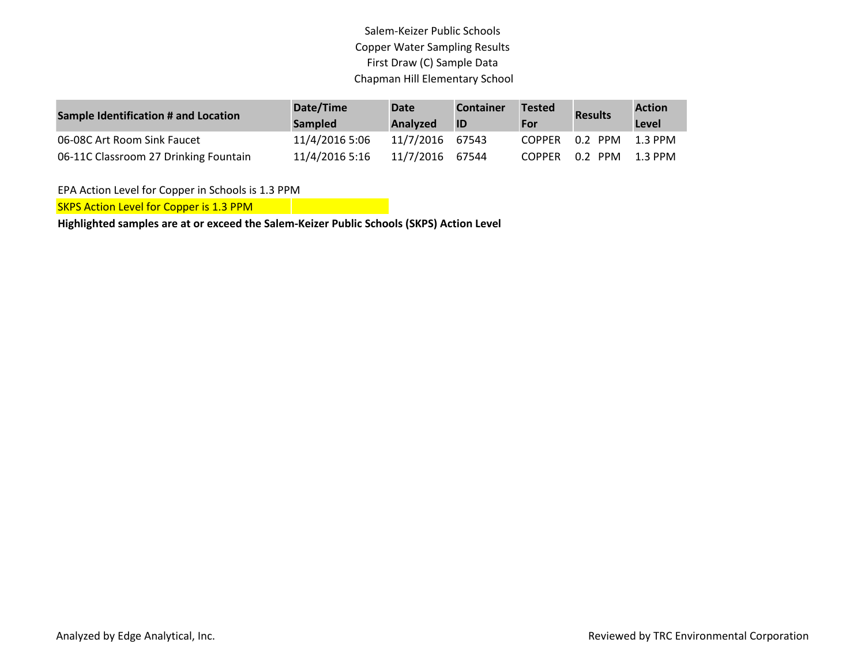| <b>Sample Identification # and Location</b> | Date/Time<br><b>Sampled</b> | Date<br>Analyzed | <b>Container</b><br>ID | <b>Tested</b><br>For | <b>Results</b>  | <b>Action</b><br>Level |
|---------------------------------------------|-----------------------------|------------------|------------------------|----------------------|-----------------|------------------------|
| 06-08C Art Room Sink Faucet                 | 11/4/2016 5:06              | 11/7/2016 67543  |                        | <b>COPPER</b>        | 0.2 PPM         | 1.3 PPM                |
| 06-11C Classroom 27 Drinking Fountain       | 11/4/2016 5:16              | 11/7/2016 67544  |                        | COPPER               | 0.2 PPM 1.3 PPM |                        |

EPA Action Level for Copper in Schools is 1.3 PPM

**SKPS Action Level for Copper is 1.3 PPM** 

**Highlighted samples are at or exceed the Salem-Keizer Public Schools (SKPS) Action Level**